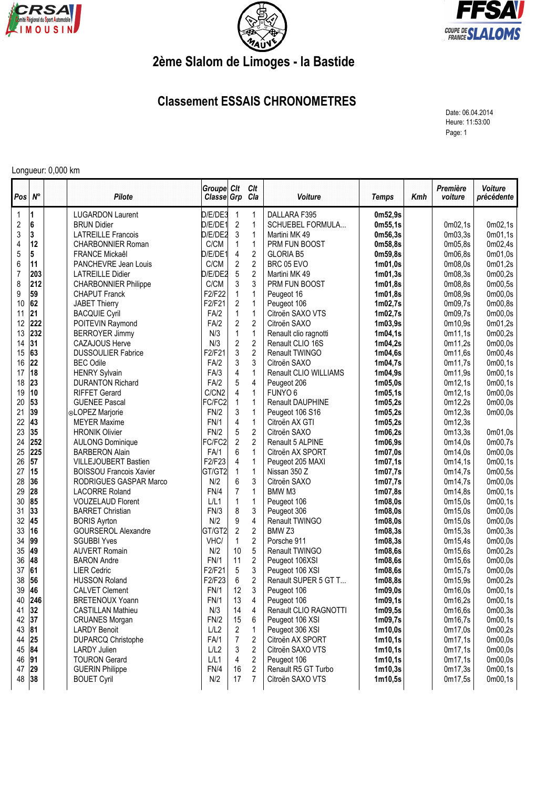





## **2ème Slalom de Limoges - la Bastide**

## **Classement ESSAIS CHRONOMETRES**

Date: 06.04.2014 Heure: 11:53:00 Page: 1

## Longueur: 0,000 km

| Pos                     | $N^{\circ}$ | Pilote                         | Groupe Clt<br>Classe Grp |                  | Clt<br>Cla     | Voiture               | Temps               | Kmh | Première<br>voiture | Voiture<br>précédente |
|-------------------------|-------------|--------------------------------|--------------------------|------------------|----------------|-----------------------|---------------------|-----|---------------------|-----------------------|
| 1                       | 1           | <b>LUGARDON Laurent</b>        | D/E/DE3                  | 1                | 1              | DALLARA F395          | 0m52,9s             |     |                     |                       |
| $\overline{\mathbf{c}}$ | 6           | <b>BRUN Didier</b>             | D/E/DE1                  | $\sqrt{2}$       | $\mathbf{1}$   | SCHUEBEL FORMULA      | 0m55,1s             |     | 0m02,1s             | 0m02,1s               |
| $\sqrt{3}$              | 3           | <b>LATREILLE Francois</b>      | D/E/DE2                  | 3                | $\mathbf{1}$   | Martini MK 49         | 0m56,3s             |     | 0m03,3s             | 0m01,1s               |
| 4                       | 12          | <b>CHARBONNIER Roman</b>       | C/CM                     | $\mathbf{1}$     | $\mathbf{1}$   | PRM FUN BOOST         | 0m58,8s             |     | 0m05,8s             | 0m02,4s               |
| 5                       | 5           | FRANCE Mickaêl                 | D/E/DE1                  | 4                | $\overline{2}$ | <b>GLORIA B5</b>      | 0m59,8s             |     | 0m06,8s             | 0m01,0s               |
| 6                       | 11          | PANCHEVRE Jean Louis           | C/CM                     | $\overline{2}$   | $\overline{2}$ | BRC 05 EVO            | 1m01,0s             |     | 0m08,0s             | 0m01,2s               |
| $\overline{7}$          | 203         | <b>LATREILLE Didier</b>        | D/E/DE2                  | $\sqrt{5}$       | $\overline{2}$ | Martini MK 49         | 1m01,3s             |     | 0m08,3s             | 0m00,2s               |
| 8                       | 212         | <b>CHARBONNIER Philippe</b>    | C/CM                     | 3                | 3              | PRM FUN BOOST         | 1m01,8s             |     | 0m08,8s             | 0m00,5s               |
| 9                       | 59          | <b>CHAPUT Franck</b>           | F2/F22                   | $\mathbf{1}$     | $\mathbf{1}$   | Peugeot 16            | 1m01,8s             |     | 0m08,9s             | 0m00,0s               |
| 10                      | 62          | <b>JABET Thierry</b>           | F2/F21                   | 2                | $\mathbf{1}$   | Peugeot 106           | 1m02,7s             |     | 0m09,7s             | 0m00,8s               |
| 11                      | 21          | <b>BACQUIE Cyril</b>           | FA/2                     | $\mathbf{1}$     | $\mathbf{1}$   | Citroën SAXO VTS      | 1m02,7s             |     | 0m09,7s             | 0m00,0s               |
| 12                      | 222         | POITEVIN Raymond               | FA/2                     | $\overline{2}$   | $\overline{2}$ | Citroën SAXO          | 1m03,9s             |     | 0m10,9s             | 0m01,2s               |
| 13                      | 232         | <b>BERROYER Jimmy</b>          | N/3                      | $\mathbf{1}$     | $\mathbf{1}$   | Renault clio ragnotti | 1m04,1s             |     | 0m11,1s             | 0m00,2s               |
| 14                      | 31          | <b>CAZAJOUS Herve</b>          | N/3                      | $\sqrt{2}$       | $\sqrt{2}$     | Renault CLIO 16S      | 1m04,2s             |     | 0m11,2s             | 0m00,0s               |
| 15                      | 63          | <b>DUSSOULIER Fabrice</b>      | F2/F21                   | 3                | $\overline{2}$ | Renault TWINGO        | 1m04,6s             |     | 0m11,6s             | 0m00,4s               |
| 16                      | 22          | <b>BEC Odile</b>               | FA/2                     | 3                | 3              | Citroën SAXO          | 1m04,7s             |     | 0m11,7s             | 0m00,1s               |
| 17                      | 18          | <b>HENRY Sylvain</b>           | FA/3                     | 4                | $\mathbf{1}$   | Renault CLIO WILLIAMS | 1m04,9s             |     | 0m11,9s             | 0m00,1s               |
| 18                      | 23          | <b>DURANTON Richard</b>        | FA/2                     | 5                | 4              | Peugeot 206           | 1m05,0s             |     | 0m12,1s             | 0m00,1s               |
| 19                      | 10          | <b>RIFFET Gerard</b>           | C/CN2                    | 4                | $\mathbf{1}$   | FUNYO <sub>6</sub>    | 1m05,1s             |     | 0m12,1s             | 0m00,0s               |
| 20                      | 53          | <b>GUENEE Pascal</b>           | FC/FC2                   | $\mathbf{1}$     | $\mathbf{1}$   | Renault DAUPHINE      | 1m05,2s             |     | 0m12,2s             | 0 <sub>m</sub> 00.0s  |
| 21                      | 39          | ⊙LOPEZ Marjorie                | FN/2                     | 3                | $\mathbf{1}$   | Peugeot 106 S16       | 1m05,2s             |     | 0m12,3s             | 0m00,0s               |
| 22                      | 43          | <b>MEYER Maxime</b>            | <b>FN/1</b>              | 4                | $\mathbf{1}$   | Citroën AX GTI        | 1m05,2s             |     | 0m12,3s             |                       |
| 23                      | 35          | <b>HRONIK Olivier</b>          | FN/2                     | 5                | $\overline{c}$ | Citroën SAXO          | 1m06,2s             |     | 0m13,3s             | 0m01,0s               |
| 24                      | 252         | <b>AULONG Dominique</b>        | FC/FC2                   | $\overline{2}$   | $\overline{2}$ | Renault 5 ALPINE      | 1m06,9s             |     | 0m14,0s             | 0m00,7s               |
| 25                      | 225         | <b>BARBERON Alain</b>          | FA/1                     | 6                | $\mathbf{1}$   | Citroën AX SPORT      | 1m07,0s             |     | 0m14.0s             | 0m00,0s               |
| 26                      | 57          | <b>VILLEJOUBERT Bastien</b>    | F2/F23                   | 4                | $\mathbf{1}$   | Peugeot 205 MAXI      | 1m07,1s             |     | 0m14,1s             | 0m00,1s               |
| 27                      | 15          | <b>BOISSOU Francois Xavier</b> | GT/GT2                   | $\mathbf{1}$     | $\mathbf{1}$   | Nissan 350 Z          | 1m07,7s             |     | 0m14,7s             | 0m00,5s               |
| 28                      | 36          | RODRIGUES GASPAR Marco         | N/2                      | 6                | 3              | Citroën SAXO          | 1m07,7s             |     | 0m14,7s             | 0m00,0s               |
| 29                      | 28          | <b>LACORRE Roland</b>          | FN/4                     | $\overline{7}$   | $\mathbf{1}$   | BMW M3                | 1m07,8s             |     | 0m14,8s             | 0m00,1s               |
| 30                      | 85          | <b>VOUZELAUD Florent</b>       | L/L1                     | 1                | $\mathbf{1}$   | Peugeot 106           | 1 <sub>m08,0s</sub> |     | 0m15,0s             | 0m00,1s               |
| 31                      | 33          | <b>BARRET Christian</b>        | FN/3                     | 8                | 3              | Peugeot 306           | 1m08,0s             |     | 0m15,0s             | 0m00,0s               |
| 32                      | 45          | <b>BORIS Ayrton</b>            | N/2                      | $\boldsymbol{9}$ | 4              | Renault TWINGO        | 1m08,0s             |     | 0m15,0s             | 0m00,0s               |
| 33                      | 16          | <b>GOURSEROL Alexandre</b>     | GT/GT2                   | $\overline{c}$   | $\overline{2}$ | BMW <sub>Z3</sub>     | 1m08,3s             |     | 0m15,3s             | 0m00,3s               |
| 34                      | 99          | <b>SGUBBI Yves</b>             | VHC/                     | $\mathbf{1}$     | $\overline{2}$ | Porsche 911           | 1 <sub>m08,3s</sub> |     | 0m15,4s             | 0m00,0s               |
| 35                      | 49          | <b>AUVERT Romain</b>           | N/2                      | 10               | $\overline{5}$ | <b>Renault TWINGO</b> | 1m08,6s             |     | 0m15,6s             | 0m00,2s               |
| 36                      | 48          | <b>BARON Andre</b>             | <b>FN/1</b>              | 11               | $\overline{2}$ | Peugeot 106XSI        | 1 <sub>m08,6s</sub> |     | 0m15,6s             | 0m00,0s               |
| 37                      | 61          | <b>LIER Cedric</b>             | F2/F21                   | 5                | 3              | Peugeot 106 XSI       | 1 <sub>m08,6s</sub> |     | 0m15,7s             | 0m00,0s               |
| 38                      | 56          | <b>HUSSON Roland</b>           | F2/F23                   | 6                | $\overline{2}$ | Renault SUPER 5 GT T  | 1 <sub>m08,8s</sub> |     | 0m15,9s             | 0m00,2s               |
| 39                      | 46          | <b>CALVET Clement</b>          | <b>FN/1</b>              | 12               | 3              | Peugeot 106           | 1 <sub>m09,0s</sub> |     | 0m16,0s             | 0m00,1s               |
| 40                      | 246         | <b>BRETENOUX Yoann</b>         | FN/1                     | 13               | 4              | Peugeot 106           | 1m09,1s             |     | 0m16,2s             | 0 <sub>m</sub> 00,1s  |
| 41                      | 32          | <b>CASTILLAN Mathieu</b>       | N/3                      | 14               | 4              | Renault CLIO RAGNOTTI | 1m09,5s             |     | 0m16,6s             | 0 <sub>m</sub> 00,3s  |
| 42                      | 37          | <b>CRUANES Morgan</b>          | FN/2                     | 15               | 6              | Peugeot 106 XSI       | 1m09,7s             |     | 0m16,7s             | 0 <sub>m</sub> 00,1s  |
| 43                      | 81          | <b>LARDY Benoit</b>            | L/L2                     | 2                | 1              | Peugeot 306 XSI       | 1m10,0s             |     | 0m17,0s             | 0m00,2s               |
| 44                      | 25          | <b>DUPARCQ Christophe</b>      | FA/1                     | $\overline{7}$   | $\overline{c}$ | Citroën AX SPORT      | 1m10,1s             |     | 0m17,1s             | 0 <sub>m</sub> 00,0s  |
| 45                      | 84          | <b>LARDY Julien</b>            | L/L2                     | 3                | $\overline{c}$ | Citroën SAXO VTS      | 1m10,1s             |     | 0m17,1s             | 0 <sub>m</sub> 00,0s  |
| 46                      | 91          | <b>TOURON Gerard</b>           | L/L1                     | 4                | $\overline{2}$ | Peugeot 106           | 1m10,1s             |     | 0m17,1s             | 0m00,0s               |
| 47                      | 29          | <b>GUERIN Philippe</b>         | FN/4                     | 16               | $\overline{2}$ | Renault R5 GT Turbo   | 1m10,3s             |     | 0m17,3s             | 0m00,1s               |
| 48                      | 38          | <b>BOUET Cyril</b>             | N/2                      | 17               | $\overline{7}$ | Citroën SAXO VTS      | 1m10,5s             |     | 0m17,5s             | 0m00,1s               |